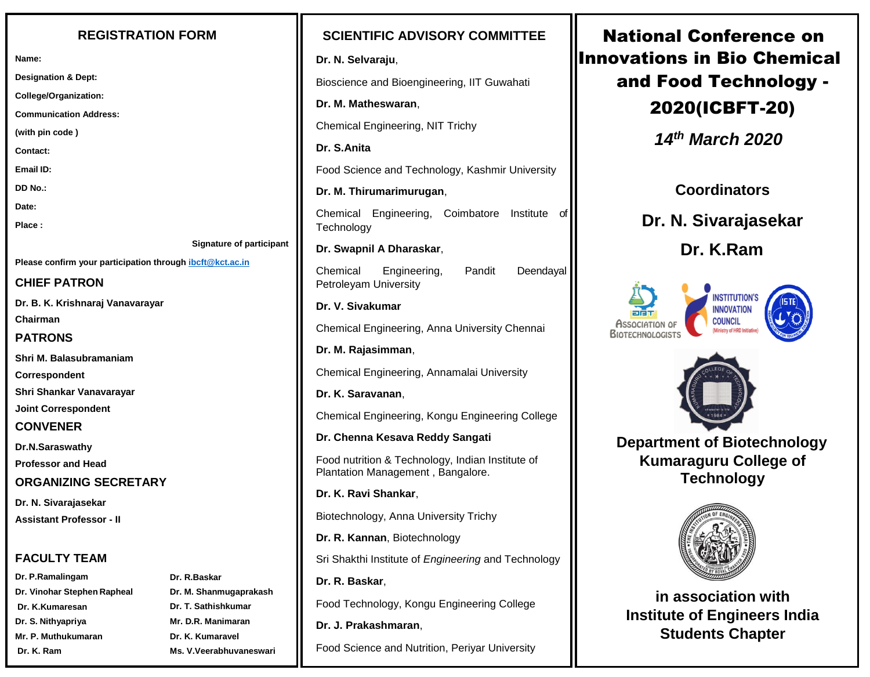#### **REGISTRATION FORM**

**Name:**

**Designation & Dept:**

**College/Organization:**

**Communication Address:**

**(with pin code )**

**Contact:**

**Email ID:**

**DD No.:**

**Date:**

**Place :**

**Signature of participant** 

**Please confirm your participation throug[h ibcft@kct.ac.in](mailto:ibcft@kct.ac.in)**

#### **CHIEF PATRON**

**Dr. B. K. Krishnaraj Vanavarayar** 

**Chairman PATRONS**

**Shri M. Balasubramaniam** 

**Correspondent**

**Shri Shankar Vanavarayar** 

**Joint Correspondent** 

#### **CONVENER**

**Dr.N.Saraswathy** 

**Professor and Head**

### **ORGANIZING SECRETARY**

**Dr. N. Sivarajasekar Assistant Professor - II**

## **FACULTY TEAM**

- **Dr. P.Ramalingam Dr. Vinohar Stephen Rapheal Dr. K.Kumaresan Dr. S. Nithyapriya Mr. P. Muthukumaran Dr. K. Ram**
- **Dr. R.Baskar Dr. M. Shanmugaprakash Dr. T. Sathishkumar Mr. D.R. Manimaran Dr. K. Kumaravel Ms. V.Veerabhuvaneswari**

### **SCIENTIFIC ADVISORY COMMITTEE**

#### **Dr. N. Selvaraju**,

Bioscience and Bioengineering, IIT Guwahati

**Dr. M. Matheswaran**,

Chemical Engineering, NIT Trichy

**Dr. S.Anita**

Food Science and Technology, Kashmir University

**Dr. M. Thirumarimurugan**,

Chemical Engineering, Coimbatore Institute of **Technology** 

**Dr. Swapnil A Dharaskar**,

Chemical Engineering, Pandit Deendayal Petroleyam University

#### **Dr. V. Sivakumar**

Chemical Engineering, Anna University Chennai

**Dr. M. Rajasimman**,

Chemical Engineering, Annamalai University

**Dr. K. Saravanan**,

Chemical Engineering, Kongu Engineering College

**Dr. Chenna Kesava Reddy Sangati**

Food nutrition & Technology, Indian Institute of Plantation Management , Bangalore.

**Dr. K. Ravi Shankar**,

Biotechnology, Anna University Trichy

**Dr. R. Kannan**, Biotechnology

Sri Shakthi Institute of *Engineering* and Technology

**Dr. R. Baskar**,

Food Technology, Kongu Engineering College

**Dr. J. Prakashmaran**,

Food Science and Nutrition, Periyar University

National Conference on Innovations in Bio Chemical and Food Technology - 2020(ICBFT-20)

 *14th March 2020*

**Coordinators**

**Dr. N. Sivarajasekar**

 **Dr. K.Ram**







 **Department of Biotechnology Kumaraguru College of Technology**



**in association with Institute of Engineers India Students Chapter**